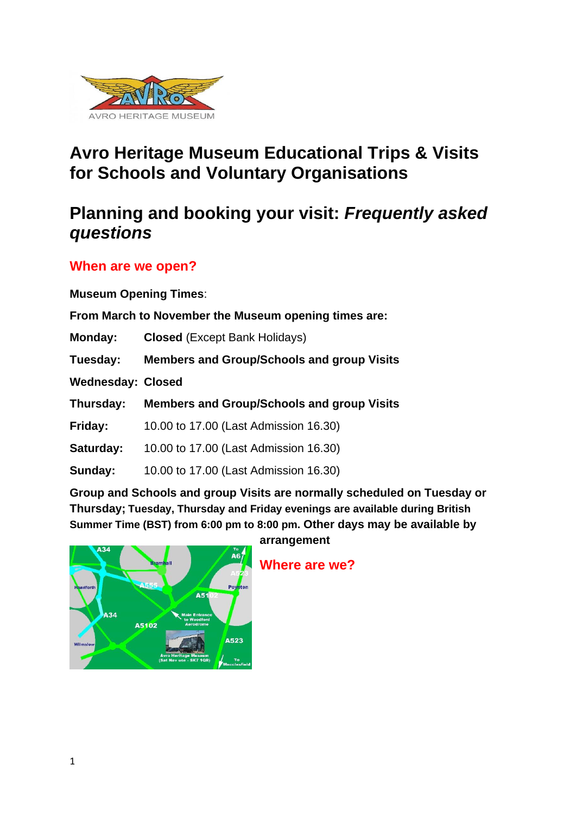

# **Avro Heritage Museum Educational Trips & Visits for Schools and Voluntary Organisations**

# **Planning and booking your visit:** *Frequently asked questions*

## **When are we open?**

**Museum Opening Times**:

**From March to November the Museum opening times are:**

**Monday: Closed** (Except Bank Holidays)

**Tuesday: Members and Group/Schools and group Visits**

**Wednesday: Closed** 

**Thursday: Members and Group/Schools and group Visits**

**Friday:** 10.00 to 17.00 (Last Admission 16.30)

**Saturday:** 10.00 to 17.00 (Last Admission 16.30)

**Sunday:** 10.00 to 17.00 (Last Admission 16.30)

**Group and Schools and group Visits are normally scheduled on Tuesday or Thursday; Tuesday, Thursday and Friday evenings are available during British Summer Time (BST) from 6:00 pm to 8:00 pm. Other days may be available by** 



**arrangement**

**Where are we?**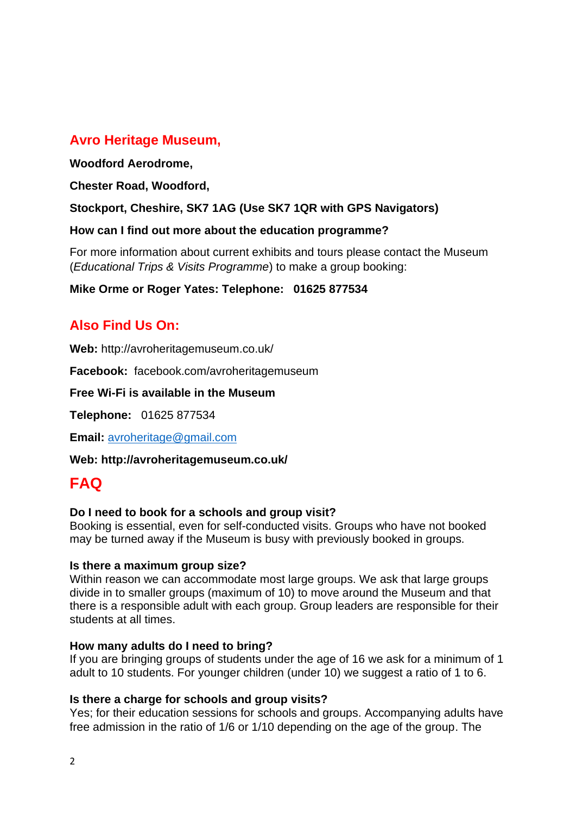### **Avro Heritage Museum,**

#### **Woodford Aerodrome,**

**Chester Road, Woodford,**

**Stockport, Cheshire, SK7 1AG (Use SK7 1QR with GPS Navigators)**

#### **How can I find out more about the education programme?**

For more information about current exhibits and tours please contact the Museum (*Educational Trips & Visits Programme*) to make a group booking:

**Mike Orme or Roger Yates: Telephone: 01625 877534**

### **Also Find Us On:**

**Web:** http://avroheritagemuseum.co.uk/

**Facebook:** facebook.com/avroheritagemuseum

**Free Wi-Fi is available in the Museum**

**Telephone:** 01625 877534

**Email:** [avroheritage@gmail.com](mailto:avroheritage@gmail.com)

**Web: http://avroheritagemuseum.co.uk/**

## **FAQ**

#### **Do I need to book for a schools and group visit?**

Booking is essential, even for self-conducted visits. Groups who have not booked may be turned away if the Museum is busy with previously booked in groups.

#### **Is there a maximum group size?**

Within reason we can accommodate most large groups. We ask that large groups divide in to smaller groups (maximum of 10) to move around the Museum and that there is a responsible adult with each group. Group leaders are responsible for their students at all times.

#### **How many adults do I need to bring?**

If you are bringing groups of students under the age of 16 we ask for a minimum of 1 adult to 10 students. For younger children (under 10) we suggest a ratio of 1 to 6.

#### **Is there a charge for schools and group visits?**

Yes; for their education sessions for schools and groups. Accompanying adults have free admission in the ratio of 1/6 or 1/10 depending on the age of the group. The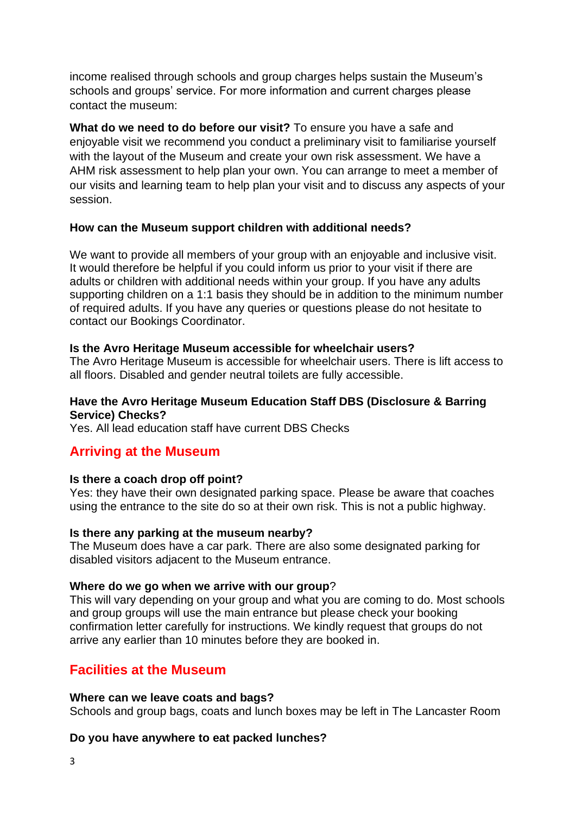income realised through schools and group charges helps sustain the Museum's schools and groups' service. For more information and current charges please contact the museum:

**What do we need to do before our visit?** To ensure you have a safe and enjoyable visit we recommend you conduct a preliminary visit to familiarise yourself with the layout of the Museum and create your own risk assessment. We have a AHM risk assessment to help plan your own. You can arrange to meet a member of our visits and learning team to help plan your visit and to discuss any aspects of your session.

#### **How can the Museum support children with additional needs?**

We want to provide all members of your group with an enjoyable and inclusive visit. It would therefore be helpful if you could inform us prior to your visit if there are adults or children with additional needs within your group. If you have any adults supporting children on a 1:1 basis they should be in addition to the minimum number of required adults. If you have any queries or questions please do not hesitate to contact our [Bookings Coordinator.](mailto:school.bookings@manchester.ac.uk)

#### **Is the Avro Heritage Museum accessible for wheelchair users?**

The Avro Heritage Museum is accessible for wheelchair users. There is lift access to all floors. Disabled and gender neutral toilets are fully accessible.

#### **Have the Avro Heritage Museum Education Staff DBS (Disclosure & Barring Service) Checks?**

Yes. All lead education staff have current DBS Checks

### **Arriving at the Museum**

#### **Is there a coach drop off point?**

Yes: they have their own designated parking space. Please be aware that coaches using the entrance to the site do so at their own risk. This is not a public highway.

#### **Is there any parking at the museum nearby?**

The Museum does have a car park. There are also some designated parking for disabled visitors adjacent to the Museum entrance.

#### **Where do we go when we arrive with our group**?

This will vary depending on your group and what you are coming to do. Most schools and group groups will use the main entrance but please check your booking confirmation letter carefully for instructions. We kindly request that groups do not arrive any earlier than 10 minutes before they are booked in.

### **Facilities at the Museum**

#### **Where can we leave coats and bags?**

Schools and group bags, coats and lunch boxes may be left in The Lancaster Room

#### **Do you have anywhere to eat packed lunches?**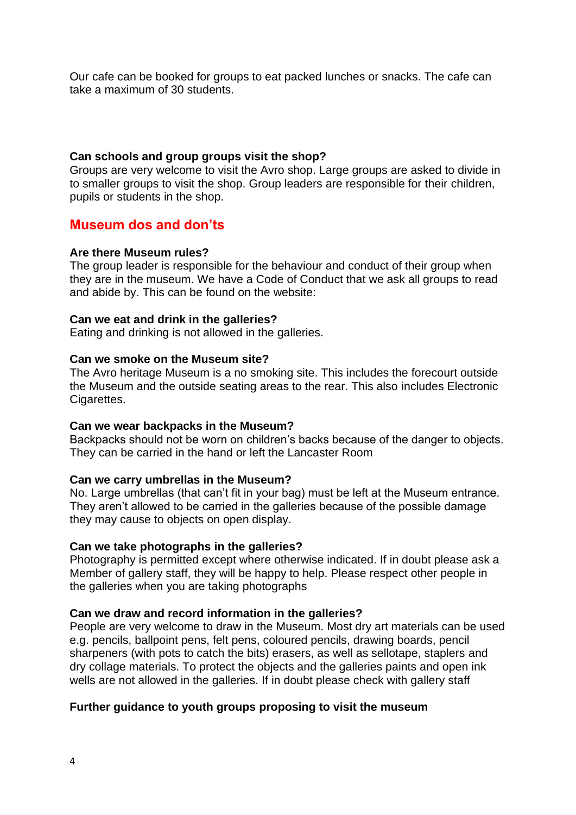Our cafe can be booked for groups to eat packed lunches or snacks. The cafe can take a maximum of 30 students.

#### **Can schools and group groups visit the shop?**

Groups are very welcome to visit the Avro shop. Large groups are asked to divide in to smaller groups to visit the shop. Group leaders are responsible for their children, pupils or students in the shop.

### **Museum dos and don'ts**

#### **Are there Museum rules?**

The group leader is responsible for the behaviour and conduct of their group when they are in the museum. We have a Code of Conduct that we ask all groups to read and abide by. This can be found on the website:

#### **Can we eat and drink in the galleries?**

Eating and drinking is not allowed in the galleries.

#### **Can we smoke on the Museum site?**

The Avro heritage Museum is a no smoking site. This includes the forecourt outside the Museum and the outside seating areas to the rear. This also includes Electronic Cigarettes.

#### **Can we wear backpacks in the Museum?**

Backpacks should not be worn on children's backs because of the danger to objects. They can be carried in the hand or left the Lancaster Room

#### **Can we carry umbrellas in the Museum?**

No. Large umbrellas (that can't fit in your bag) must be left at the Museum entrance. They aren't allowed to be carried in the galleries because of the possible damage they may cause to objects on open display.

#### **Can we take photographs in the galleries?**

Photography is permitted except where otherwise indicated. If in doubt please ask a Member of gallery staff, they will be happy to help. Please respect other people in the galleries when you are taking photographs

#### **Can we draw and record information in the galleries?**

People are very welcome to draw in the Museum. Most dry art materials can be used e.g. pencils, ballpoint pens, felt pens, coloured pencils, drawing boards, pencil sharpeners (with pots to catch the bits) erasers, as well as sellotape, staplers and dry collage materials. To protect the objects and the galleries paints and open ink wells are not allowed in the galleries. If in doubt please check with gallery staff

#### **Further guidance to youth groups proposing to visit the museum**